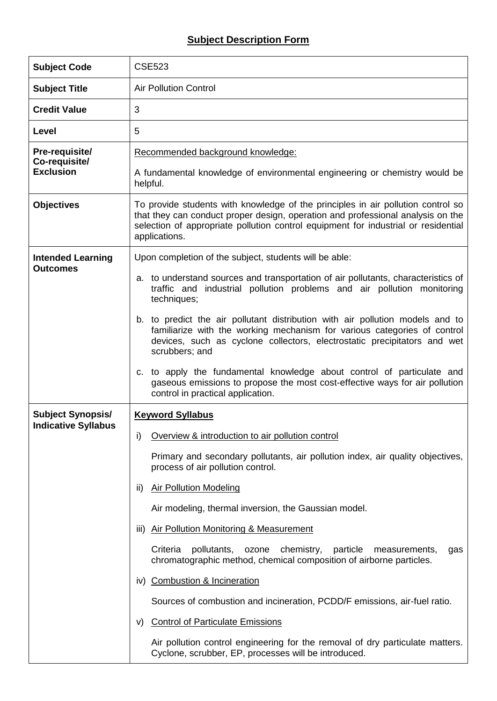## **Subject Description Form**

| <b>Subject Code</b>             | <b>CSE523</b>                                                                                                                                                                                                                                                              |  |  |  |  |  |
|---------------------------------|----------------------------------------------------------------------------------------------------------------------------------------------------------------------------------------------------------------------------------------------------------------------------|--|--|--|--|--|
| <b>Subject Title</b>            | <b>Air Pollution Control</b>                                                                                                                                                                                                                                               |  |  |  |  |  |
| <b>Credit Value</b>             | 3                                                                                                                                                                                                                                                                          |  |  |  |  |  |
| Level                           | 5                                                                                                                                                                                                                                                                          |  |  |  |  |  |
| Pre-requisite/<br>Co-requisite/ | Recommended background knowledge:                                                                                                                                                                                                                                          |  |  |  |  |  |
| <b>Exclusion</b>                | A fundamental knowledge of environmental engineering or chemistry would be<br>helpful.                                                                                                                                                                                     |  |  |  |  |  |
| <b>Objectives</b>               | To provide students with knowledge of the principles in air pollution control so<br>that they can conduct proper design, operation and professional analysis on the<br>selection of appropriate pollution control equipment for industrial or residential<br>applications. |  |  |  |  |  |
| <b>Intended Learning</b>        | Upon completion of the subject, students will be able:                                                                                                                                                                                                                     |  |  |  |  |  |
| <b>Outcomes</b>                 | a. to understand sources and transportation of air pollutants, characteristics of<br>traffic and industrial pollution problems and air pollution monitoring<br>techniques;                                                                                                 |  |  |  |  |  |
|                                 | b. to predict the air pollutant distribution with air pollution models and to<br>familiarize with the working mechanism for various categories of control<br>devices, such as cyclone collectors, electrostatic precipitators and wet<br>scrubbers; and                    |  |  |  |  |  |
|                                 | c. to apply the fundamental knowledge about control of particulate and<br>gaseous emissions to propose the most cost-effective ways for air pollution<br>control in practical application.                                                                                 |  |  |  |  |  |
| <b>Subject Synopsis/</b>        | <b>Keyword Syllabus</b>                                                                                                                                                                                                                                                    |  |  |  |  |  |
| <b>Indicative Syllabus</b>      | Overview & introduction to air pollution control<br>i)                                                                                                                                                                                                                     |  |  |  |  |  |
|                                 | Primary and secondary pollutants, air pollution index, air quality objectives,<br>process of air pollution control.                                                                                                                                                        |  |  |  |  |  |
|                                 | <b>Air Pollution Modeling</b><br>ii)                                                                                                                                                                                                                                       |  |  |  |  |  |
|                                 | Air modeling, thermal inversion, the Gaussian model.                                                                                                                                                                                                                       |  |  |  |  |  |
|                                 | <b>Air Pollution Monitoring &amp; Measurement</b><br>III)                                                                                                                                                                                                                  |  |  |  |  |  |
|                                 | Criteria<br>pollutants,<br>ozone<br>chemistry,<br>particle<br>measurements,<br>gas<br>chromatographic method, chemical composition of airborne particles.                                                                                                                  |  |  |  |  |  |
|                                 | iv) Combustion & Incineration                                                                                                                                                                                                                                              |  |  |  |  |  |
|                                 | Sources of combustion and incineration, PCDD/F emissions, air-fuel ratio.                                                                                                                                                                                                  |  |  |  |  |  |
|                                 | <b>Control of Particulate Emissions</b><br>V)                                                                                                                                                                                                                              |  |  |  |  |  |
|                                 | Air pollution control engineering for the removal of dry particulate matters.<br>Cyclone, scrubber, EP, processes will be introduced.                                                                                                                                      |  |  |  |  |  |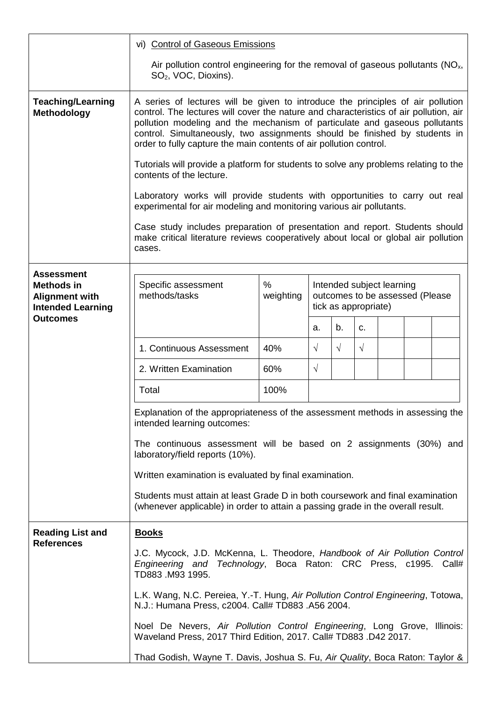|                                                                                             | vi) Control of Gaseous Emissions                                                                                                                                                                                                                                                                                                                                                                                                                                                                                                                                                                                                                                                                                                                                     |                |                                                                                      |            |             |  |  |  |
|---------------------------------------------------------------------------------------------|----------------------------------------------------------------------------------------------------------------------------------------------------------------------------------------------------------------------------------------------------------------------------------------------------------------------------------------------------------------------------------------------------------------------------------------------------------------------------------------------------------------------------------------------------------------------------------------------------------------------------------------------------------------------------------------------------------------------------------------------------------------------|----------------|--------------------------------------------------------------------------------------|------------|-------------|--|--|--|
|                                                                                             | Air pollution control engineering for the removal of gaseous pollutants $(NOx)$ ,<br>SO <sub>2</sub> , VOC, Dioxins).                                                                                                                                                                                                                                                                                                                                                                                                                                                                                                                                                                                                                                                |                |                                                                                      |            |             |  |  |  |
| <b>Teaching/Learning</b><br>Methodology                                                     | A series of lectures will be given to introduce the principles of air pollution<br>control. The lectures will cover the nature and characteristics of air pollution, air<br>pollution modeling and the mechanism of particulate and gaseous pollutants<br>control. Simultaneously, two assignments should be finished by students in<br>order to fully capture the main contents of air pollution control.<br>Tutorials will provide a platform for students to solve any problems relating to the<br>contents of the lecture.<br>Laboratory works will provide students with opportunities to carry out real<br>experimental for air modeling and monitoring various air pollutants.<br>Case study includes preparation of presentation and report. Students should |                |                                                                                      |            |             |  |  |  |
|                                                                                             | make critical literature reviews cooperatively about local or global air pollution<br>cases.                                                                                                                                                                                                                                                                                                                                                                                                                                                                                                                                                                                                                                                                         |                |                                                                                      |            |             |  |  |  |
| <b>Assessment</b><br><b>Methods in</b><br><b>Alignment with</b><br><b>Intended Learning</b> | Specific assessment<br>methods/tasks                                                                                                                                                                                                                                                                                                                                                                                                                                                                                                                                                                                                                                                                                                                                 | %<br>weighting | Intended subject learning<br>outcomes to be assessed (Please<br>tick as appropriate) |            |             |  |  |  |
| <b>Outcomes</b>                                                                             |                                                                                                                                                                                                                                                                                                                                                                                                                                                                                                                                                                                                                                                                                                                                                                      |                | a.                                                                                   | b.         | $C_{\cdot}$ |  |  |  |
|                                                                                             | 1. Continuous Assessment                                                                                                                                                                                                                                                                                                                                                                                                                                                                                                                                                                                                                                                                                                                                             | 40%            | $\sqrt{ }$                                                                           | $\sqrt{ }$ | $\sqrt{ }$  |  |  |  |
|                                                                                             | 2. Written Examination                                                                                                                                                                                                                                                                                                                                                                                                                                                                                                                                                                                                                                                                                                                                               | 60%            | $\sqrt{ }$                                                                           |            |             |  |  |  |
|                                                                                             | Total                                                                                                                                                                                                                                                                                                                                                                                                                                                                                                                                                                                                                                                                                                                                                                | 100%           |                                                                                      |            |             |  |  |  |
|                                                                                             | Explanation of the appropriateness of the assessment methods in assessing the<br>intended learning outcomes:<br>The continuous assessment will be based on 2 assignments (30%) and<br>laboratory/field reports (10%).                                                                                                                                                                                                                                                                                                                                                                                                                                                                                                                                                |                |                                                                                      |            |             |  |  |  |
|                                                                                             | Written examination is evaluated by final examination.                                                                                                                                                                                                                                                                                                                                                                                                                                                                                                                                                                                                                                                                                                               |                |                                                                                      |            |             |  |  |  |
|                                                                                             | Students must attain at least Grade D in both coursework and final examination<br>(whenever applicable) in order to attain a passing grade in the overall result.                                                                                                                                                                                                                                                                                                                                                                                                                                                                                                                                                                                                    |                |                                                                                      |            |             |  |  |  |
| <b>Reading List and</b><br><b>References</b>                                                | <b>Books</b><br>J.C. Mycock, J.D. McKenna, L. Theodore, Handbook of Air Pollution Control<br>Engineering and Technology, Boca Raton: CRC Press, c1995. Call#<br>TD883.M93 1995.                                                                                                                                                                                                                                                                                                                                                                                                                                                                                                                                                                                      |                |                                                                                      |            |             |  |  |  |
|                                                                                             |                                                                                                                                                                                                                                                                                                                                                                                                                                                                                                                                                                                                                                                                                                                                                                      |                |                                                                                      |            |             |  |  |  |
|                                                                                             | L.K. Wang, N.C. Pereiea, Y.-T. Hung, Air Pollution Control Engineering, Totowa,<br>N.J.: Humana Press, c2004. Call# TD883.A56 2004.<br>Noel De Nevers, Air Pollution Control Engineering, Long Grove, Illinois:<br>Waveland Press, 2017 Third Edition, 2017. Call# TD883. D42 2017.                                                                                                                                                                                                                                                                                                                                                                                                                                                                                  |                |                                                                                      |            |             |  |  |  |
|                                                                                             |                                                                                                                                                                                                                                                                                                                                                                                                                                                                                                                                                                                                                                                                                                                                                                      |                |                                                                                      |            |             |  |  |  |
|                                                                                             | Thad Godish, Wayne T. Davis, Joshua S. Fu, Air Quality, Boca Raton: Taylor &                                                                                                                                                                                                                                                                                                                                                                                                                                                                                                                                                                                                                                                                                         |                |                                                                                      |            |             |  |  |  |